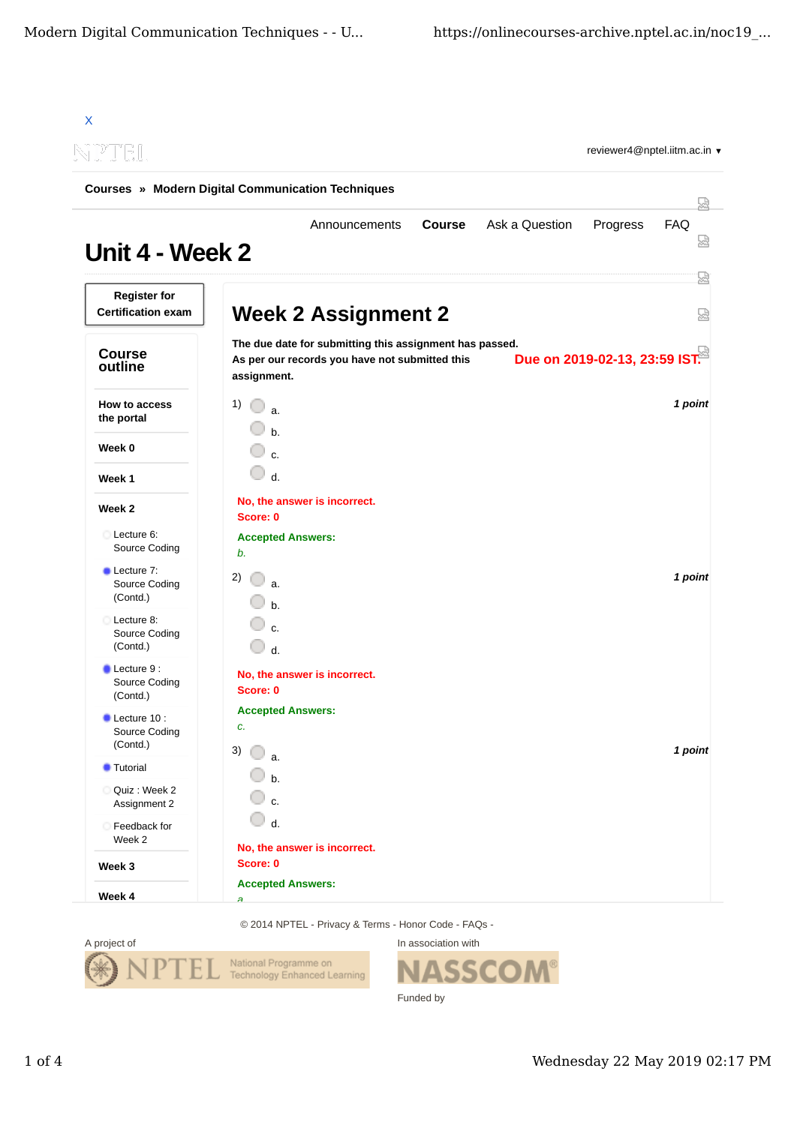| NPTEL                                                    |                                |                                                                                                           |               |                |                               |          |
|----------------------------------------------------------|--------------------------------|-----------------------------------------------------------------------------------------------------------|---------------|----------------|-------------------------------|----------|
| <b>Courses » Modern Digital Communication Techniques</b> |                                |                                                                                                           |               |                |                               |          |
| Unit 4 - Week 2                                          |                                | Announcements                                                                                             | <b>Course</b> | Ask a Question | Progress                      | FAQ<br>₩ |
| <b>Register for</b><br><b>Certification exam</b>         |                                | <b>Week 2 Assignment 2</b>                                                                                |               |                |                               | 덣<br>品   |
| <b>Course</b><br>outline                                 | assignment.                    | The due date for submitting this assignment has passed.<br>As per our records you have not submitted this |               |                | Due on 2019-02-13, 23:59 IST. |          |
| <b>How to access</b><br>the portal                       | 1)<br>$\mathbf{a}$<br>$h$ .    |                                                                                                           |               |                |                               | 1 point  |
| Week 0                                                   | $\mathbf{c}$                   |                                                                                                           |               |                |                               |          |
| Week 1                                                   | 0<br>$d$ .                     |                                                                                                           |               |                |                               |          |
| Week 2                                                   | Score: 0                       | No, the answer is incorrect.                                                                              |               |                |                               |          |
| Lecture 6:<br>Source Coding                              | <b>Accepted Answers:</b><br>b. |                                                                                                           |               |                |                               |          |
| <b>Lecture 7:</b><br>Source Coding<br>(Contd.)           | 2)<br>a.<br>$h$ .              |                                                                                                           |               |                |                               | 1 point  |
| Lecture 8:<br>Source Coding<br>(Contd.)                  | $\mathbf{c}$<br>$d$ .          |                                                                                                           |               |                |                               |          |
| Lecture 9 :<br>Source Coding<br>(Contd.)                 | Score: 0                       | No, the answer is incorrect.                                                                              |               |                |                               |          |
| Lecture 10 :<br>Source Coding<br>(Contd.)                | <b>Accepted Answers:</b><br>c. |                                                                                                           |               |                |                               |          |
| <b>Tutorial</b>                                          | 3)<br>a.                       |                                                                                                           |               |                |                               | 1 point  |
| Quiz : Week 2<br>Assignment 2                            | $b$<br>c.                      |                                                                                                           |               |                |                               |          |
| Feedback for<br>Week 2                                   | d.                             |                                                                                                           |               |                |                               |          |
| Week 3                                                   | Score: 0                       | No, the answer is incorrect.                                                                              |               |                |                               |          |

© 2014 NPTEL - Privacy & Terms - Honor Code - FAQs -



In association with **SSCOM®** Funded by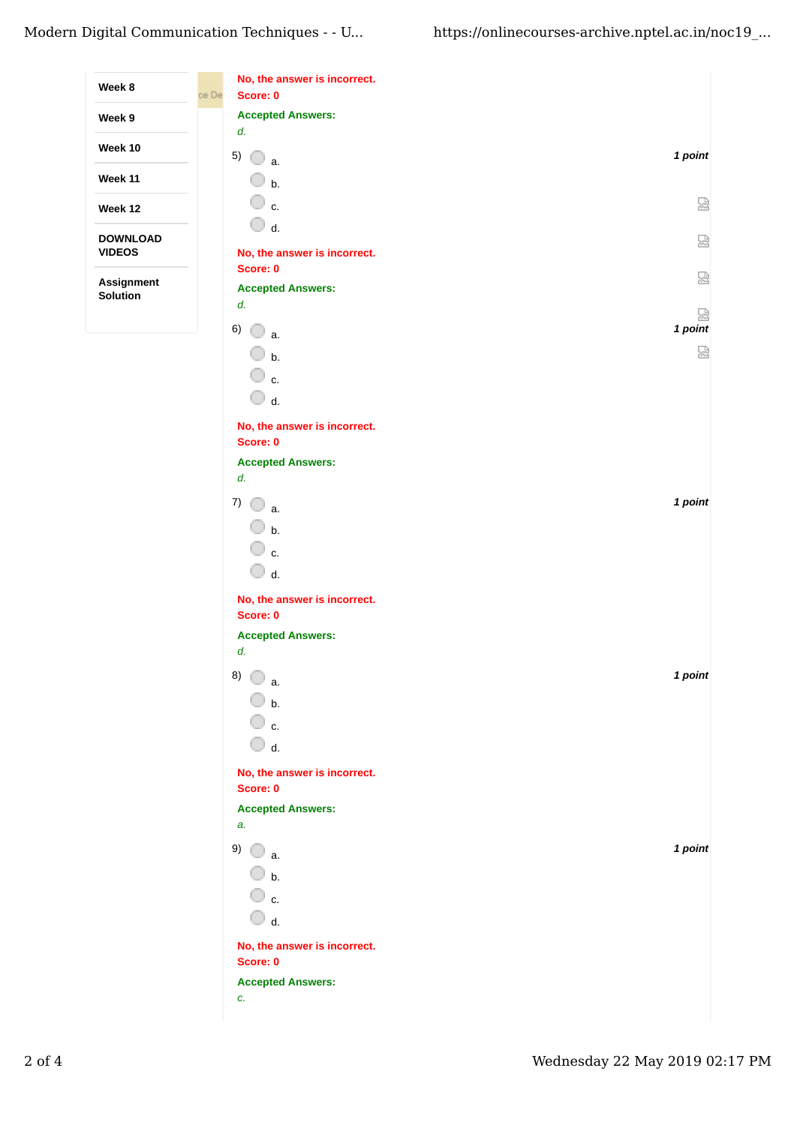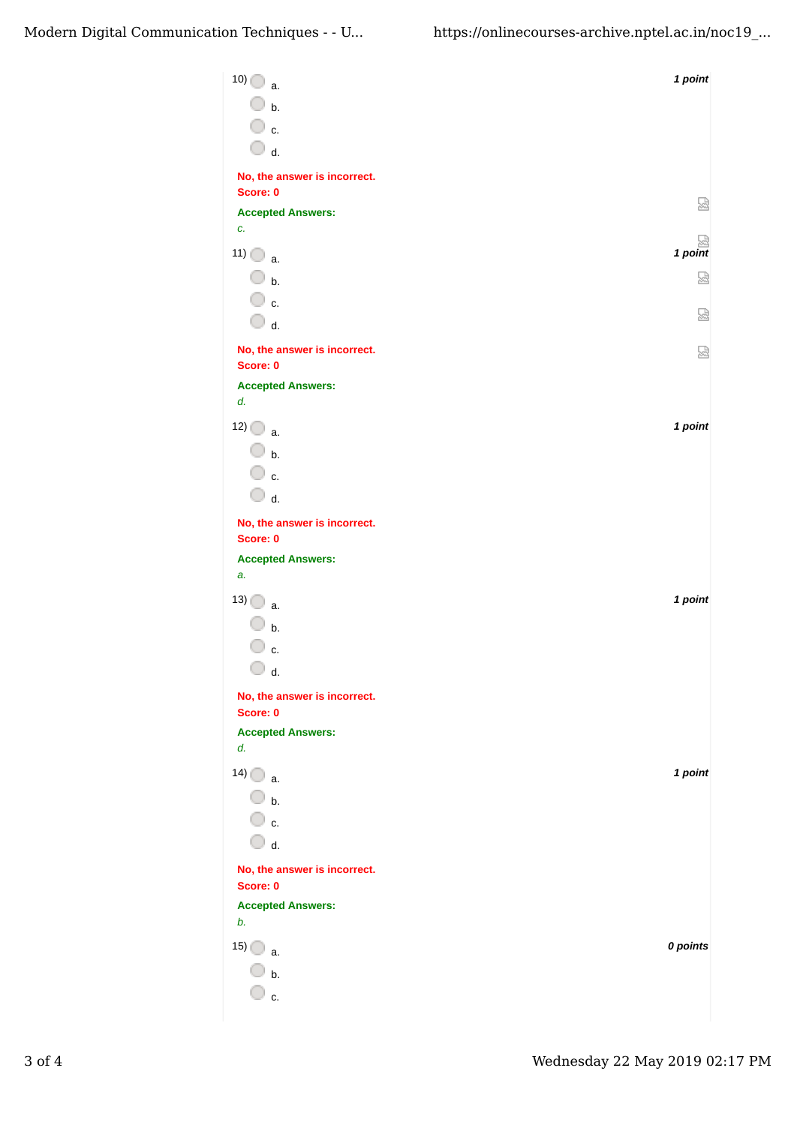| 10)<br>a.                                | 1 point  |
|------------------------------------------|----------|
| $\overline{\mathbb{O}}$ b.               |          |
| ◯ c.                                     |          |
| $\bigcirc$ d.                            |          |
| No, the answer is incorrect.<br>Score: 0 |          |
| <b>Accepted Answers:</b>                 | 덣        |
| c.                                       |          |
| 11)<br>a.                                | 1 point  |
| $\overline{\mathbb{O}}$ b.               | 요        |
| $\overline{\mathbb{O}}$ c.               | 썭        |
| $\bigcirc$ d.                            |          |
| No, the answer is incorrect.<br>Score: 0 | 쩒        |
| <b>Accepted Answers:</b>                 |          |
| d.                                       |          |
| 12)<br>a.                                | 1 point  |
| $\bigcirc$ b.                            |          |
| ○ c.                                     |          |
| $\bigcirc$ d.                            |          |
| No, the answer is incorrect.<br>Score: 0 |          |
| <b>Accepted Answers:</b>                 |          |
| a.                                       |          |
| 13)<br>a.                                | 1 point  |
| b.                                       |          |
| c.<br>O                                  |          |
| d.                                       |          |
| No, the answer is incorrect.<br>Score: 0 |          |
| <b>Accepted Answers:</b>                 |          |
| d.                                       |          |
| 14)<br>a.                                | 1 point  |
| $\bigcirc$ b.<br>◯ c.                    |          |
| $\overline{\mathbb{O}}$ d.               |          |
| No, the answer is incorrect.             |          |
| Score: 0                                 |          |
| <b>Accepted Answers:</b><br>b.           |          |
| 15)                                      | 0 points |
| a.<br>b.                                 |          |
| $c$ .                                    |          |
|                                          |          |